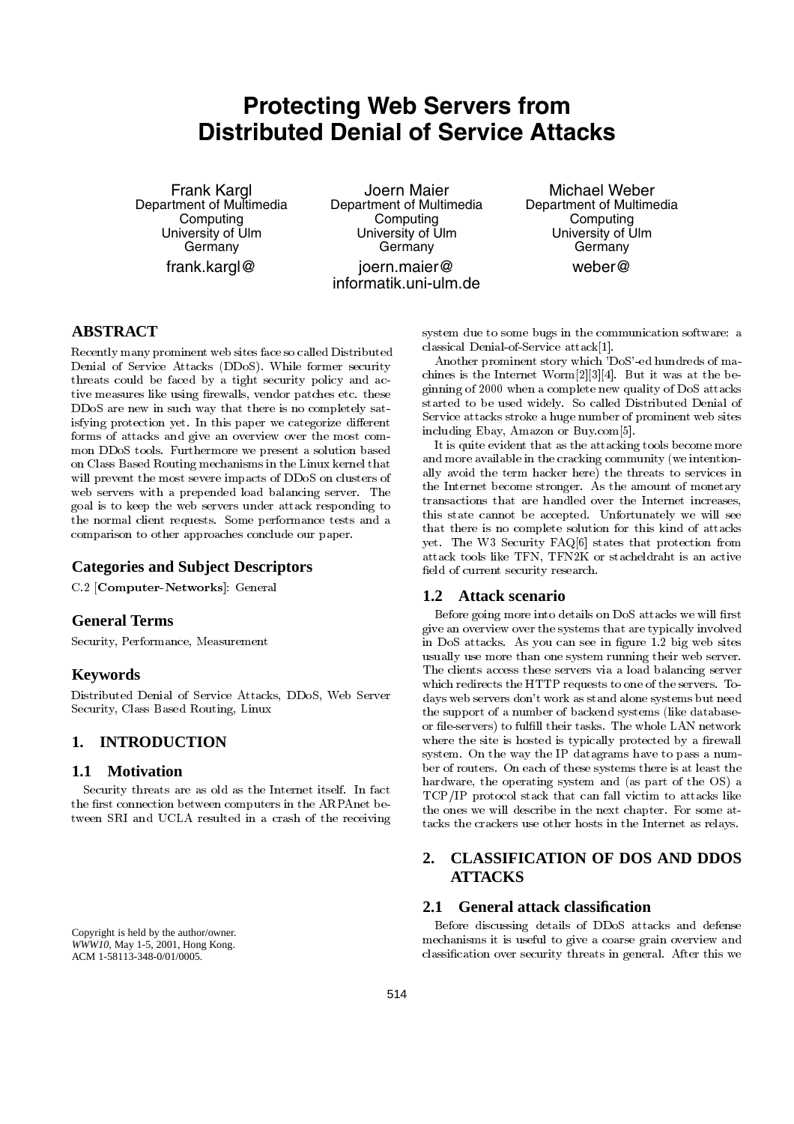# **Protecting Web Servers from Distributed Denial of Service Attacks**

Frank Kargl Department of Multimedia **Computing** University of Ulm **Germany** frank.kargl@

Joern Maier Department of Multimedia **Computing** University of Ulm **Germany** joern.maier@ informatik.uni-ulm.de

Michael Weber Department of Multimedia **Computing** University of Ulm **Germany** weber@

# **ABSTRACT**

Recently many prominent web sites face so called Distributed Denial of Service Attacks (DDoS). While former security threats could be faced by a tight security policy and ac tive measures like using firewalls, vendor patches etc. these DDoS are new in such way that there is no completely satisfying protection yet. In this paper we categorize different forms of attacks and give an overview over the most common DDoS tools. Furthermore we present a solution based on Class Based Routing mechanisms in the Linux kernel that will prevent the most severe impacts of DDoS on clusters of web servers with a prepended load balancing server. The goal is to keep the web servers under attack responding to the normal client requests. Some performance tests and a comparison to other approaches conclude our paper.

## **Categories and Subject Descriptors**

C.2 [Computer-Networks]: General

## **General Terms**

Security, Performance, Measurement

## **Keywords**

Distributed Denial of Service Attacks, DDoS, Web Server Security, Class Based Routing, Linux

## **1. INTRODUCTION**

## **1.1 Motivation**

Security threats are as old as the Internet itself. In fact the first connection between computers in the ARPAnet between SRI and UCLA resulted in a crash of the receiving

Copyright is held by the author/owner. *WWW10,* May 1-5, 2001, Hong Kong. ACM 1-58113-348-0/01/0005.

system due to some bugs in the communication software: a classical Denial-of-Service attack[1].

Another prominent story which 'DoS'-ed hundreds of ma chines is the Internet Worm[2][3][4]. But it was at the beginning of 2000 when a complete new quality of DoS attacks started to be used widely. So called Distributed Denial of Service attacks stroke a huge number of prominent web sites including Ebay, Amazon or Buy.com[5].

It is quite evident that as the attacking tools become more and more available in the cracking community (we intentionally avoid the term hacker here) the threats to services in the Internet become stronger. As the amount of monetary transactions that are handled over the Internet increases, this state cannot be accepted. Unfortunately we will see that there is no complete solution for this kind of attacks yet. The W3 Security FAQ[6] states that protection from attack tools like TFN, TFN2K or stacheldraht is an active field of current security research.

### **1.2 Attack scenario**

Before going more into details on DoS attacks we will first give an overview over the systems that are typically involved in DoS attacks. As you can see in figure 1.2 big web sites usually use more than one system running their web server. The clients access these servers via a load balancing server which redirects the HTTP requests to one of the servers. To days web servers don't work as stand alone systems but need the support of a number of backend systems (like databaseor file-servers) to fulfill their tasks. The whole LAN network where the site is hosted is typically protected by a firewall system. On the way the IP datagrams have to pass a num ber of routers. On each of these systems there is at least the hardware, the operating system and (as part of the OS) a TCP/IP protocol stack that can fall victim to attacks like the ones we will describe in the next chapter. For some attacks the crackers use other hosts in the Internet as relays.

# **2. CLASSIFICATION OF DOS AND DDOS ATTACKS**

## **2.1 General attack classification**

Before discussing details of DDoS attacks and defense mechanisms it is useful to give a coarse grain overview and classication over security threats in general. After this we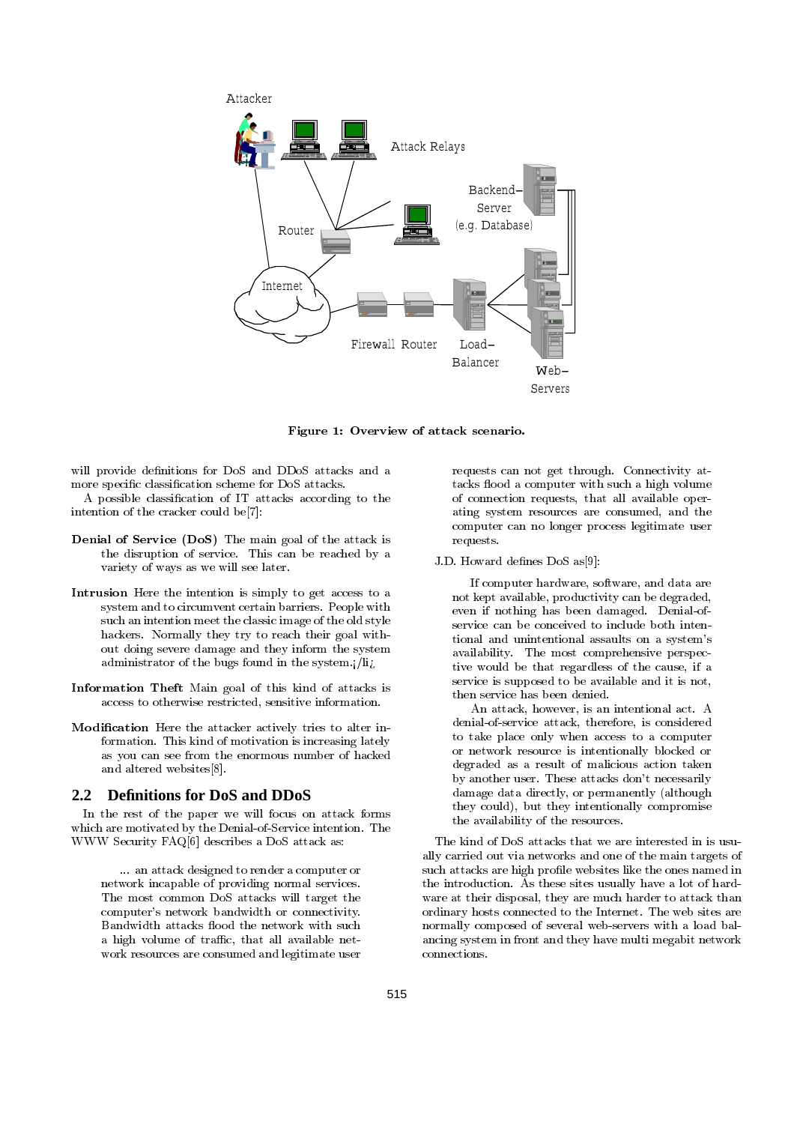

Figure 1: Overview of attack scenario.

will provide definitions for DoS and DDoS attacks and a more specific classification scheme for DoS attacks.

A possible classication of IT attacks according to the intention of the cracker could be[7]:

- Denial of Service (DoS) The main goal of the attack is the disruption of service. This can be reached by a variety of ways as we will see later.
- Intrusion Here the intention is simply to get access to a system and to circumvent certain barriers. People with such an intention meet the classic image of the old style hackers. Normally they try to reach their goal without doing severe damage and they inform the system administrator of the bugs found in the system.  $/$ li $/$
- Information Theft Main goal of this kind of attacks is access to otherwise restricted, sensitive information.
- Modication Here the attacker actively tries to alter information. This kind of motivation is increasing lately as you can see from the enormous number of hacked and altered websites[8].

#### **2.2 Definitions for DoS and DDoS**

In the rest of the paper we will focus on attack forms In the rest of the paper we will focus on attack forms which are motivated by the Denial-of-Service intention. The WWW Security FAQ[6] describes a DoS attack as:

... an attack designed to render a computer or network incapable of providing normal services. The most common DoS attacks will target the computer's network bandwidth or connectivity. Bandwidth attacks flood the network with such a high volume of traffic, that all available network resources are consumed and legitimate user

requests can not get through. Connectivity attacks flood a computer with such a high volume of connection requests, that all available operating system resources are consumed, and the computer can no longer process legitimate user requests.

#### J.D. Howard defines DoS as[9]:

If computer hardware, software, and data are not kept available, productivity can be degraded, even if nothing has been damaged. Denial-ofservice can be conceived to include both intentional and unintentional assaults on a system's availability. The most comprehensive perspective would be that regardless of the cause, if a service is supposed to be available and it is not, then service has been denied.

An attack, however, is an intentional act. A denial-of-service attack, therefore, is considered to take place only when access to a computer or network resource is intentionally blocked or degraded as a result of malicious action taken by another user. These attacks don't necessarily damage data directly, or permanently (although they could), but they intentionally compromise the availability of the resources.

The kind of DoS attacks that we are interested in is usually carried out via networks and one of the main targets of such attacks are high profile websites like the ones named in the introduction. As these sites usually have a lot of hard ware at their disposal, they are much harder to attack than ordinary hosts connected to the Internet. The web sites are normally composed of several web-servers with a load balancing system in front and they have multi megabit network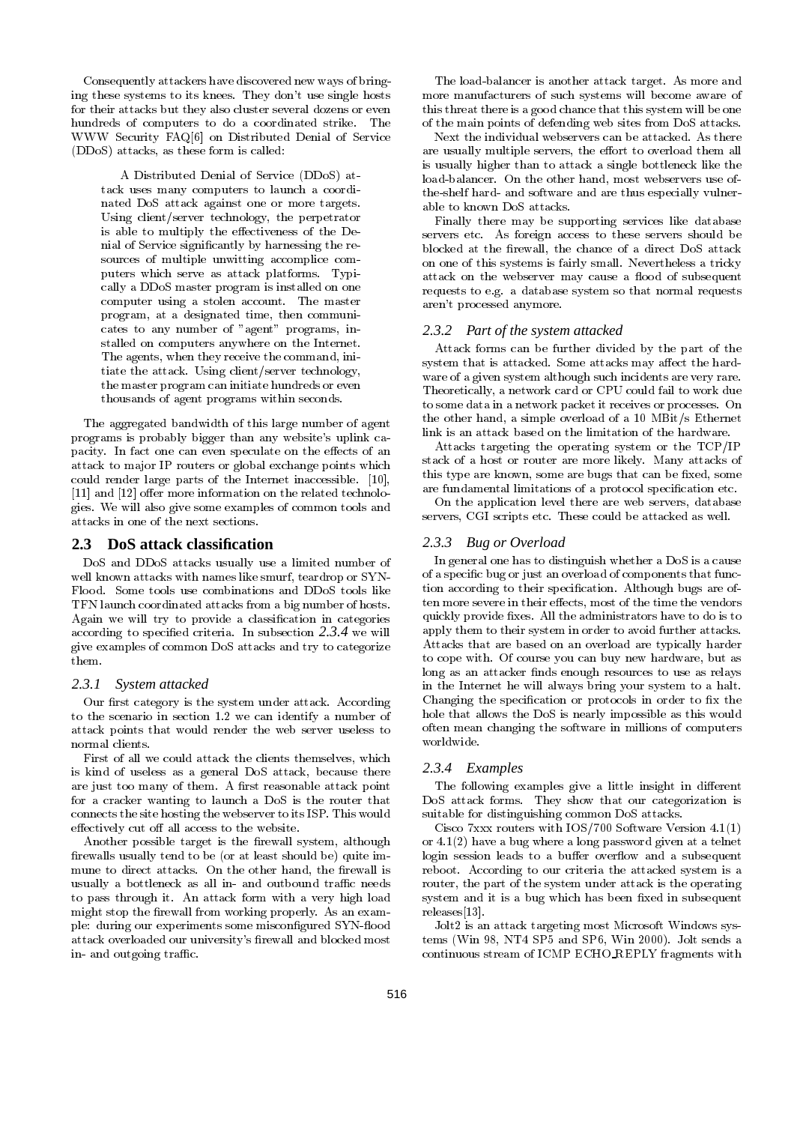Consequently attackers have discovered new ways of bringing these systems to its knees. They don't use single hosts for their attacks but they also cluster several dozens or even hundreds of computers to do a coordinated strike. The WWW Security FAQ[6] on Distributed Denial of Service (DDoS) attacks, as these form is called:

A Distributed Denial of Service (DDoS) attack uses many computers to launch a coordinated DoS attack against one or more targets. Using client/server technology, the perpetrator is able to multiply the effectiveness of the Denial of Service signicantly by harnessing the re sources of multiple unwitting accomplice com puters which serve as attack platforms. Typically a DDoS master program is installed on one computer using a stolen account. The master program, at a designated time, then communicates to any number of "agent" programs, installed on computers anywhere on the Internet. The agents, when they receive the command, initiate the attack. Using client/server technology, the master program can initiate hundreds or even thousands of agent programs within seconds.

The aggregated bandwidth of this large number of agent programs is probably bigger than any website's uplink capacity. In fact one can even speculate on the effects of an attack to ma jor IP routers or global exchange points which could render large parts of the Internet inaccessible. [10],  $[11]$  and  $[12]$  offer more information on the related technologies. We will also give some examples of common tools and attacks in one of the next sections.

#### **2.3 DoS attack classification**

DoS and DDoS attacks usually use a limited number of well known attacks with names like smurf, teardrop or SYN-Flood. Some tools use combinations and DDoS tools like TFN launch coordinated attacks from a big number of hosts. Again we will try to provide a classication in categories according to specied criteria. In subsection *2.3.4* we will give examples of common DoS attacks and try to categorize them.

#### *2.3.1 System attacked*

Our first category is the system under attack. According to the scenario in section 1.2 we can identify a number of attack points that would render the web server useless to normal clients.

First of all we could attack the clients themselves, which is kind of useless as a general DoS attack, because there are just too many of them. A first reasonable attack point for a cracker wanting to launch a DoS is the router that connects the site hosting the webserver to its ISP. This would effectively cut off all access to the website.

Another possible target is the firewall system, although firewalls usually tend to be (or at least should be) quite immune to direct attacks. On the other hand, the firewall is usually a bottleneck as all in- and outbound traffic needs to pass through it. An attack form with a very high load might stop the firewall from working properly. As an example: during our experiments some misconfigured SYN-flood attack overloaded our university's firewall and blocked most in- and outgoing traffic.

The load-balancer is another attack target. As more and more manufacturers of such systems will become aware of this threat there is a good chance that this system will be one of the main points of defending web sites from DoS attacks.

Next the individual webservers can be attacked. As there are usually multiple servers, the effort to overload them all is usually higher than to attack a single bottleneck like the load-balancer. On the other hand, most webservers use ofthe-shelf hard- and software and are thus especially vulnerable to known DoS attacks.

Finally there may be supporting services like database servers etc. As foreign access to these servers should be blocked at the firewall, the chance of a direct DoS attack on one of this systems is fairly small. Nevertheless a tricky attack on the webserver may cause a flood of subsequent requests to e.g. a database system so that normal requests aren't processed anymore.

#### *2.3.2 Part of the system attacked*

Attack forms can be further divided by the part of the system that is attacked. Some attacks may affect the hardware of a given system although such incidents are very rare. Theoretically, a network card or CPU could fail to work due to some data in a network packet it receives or processes. On the other hand, a simple overload of a 10 MBit/s Ethernet link is an attack based on the limitation of the hardware.

Attacks targeting the operating system or the TCP/IP stack of a host or router are more likely. Many attacks of this type are known, some are bugs that can be fixed, some are fundamental limitations of a protocol specification etc.

On the application level there are web servers, database servers, CGI scripts etc. These could be attacked as well.

#### *2.3.3 Bug or Overload*

In general one has to distinguish whether a DoS is a cause of a specic bug or just an overload of components that function according to their specification. Although bugs are often more severe in their effects, most of the time the vendors quickly provide fixes. All the administrators have to do is to apply them to their system in order to avoid further attacks. Attacks that are based on an overload are typically harder to cope with. Of course you can buy new hardware, but as long as an attacker finds enough resources to use as relays in the Internet he will always bring your system to a halt. Changing the specification or protocols in order to fix the hole that allows the DoS is nearly impossible as this would often mean changing the software in millions of computers worldwide.

#### *2.3.4 Examples*

The following examples give a little insight in different DoS attack forms. They show that our categorization is suitable for distinguishing common DoS attacks.

Cisco 7xxx routers with IOS/700 Software Version 4.1(1) or 4.1(2) have a bug where a long password given at a telnet login session leads to a buffer overflow and a subsequent reboot. According to our criteria the attacked system is a router, the part of the system under attack is the operating system and it is a bug which has been fixed in subsequent releases[13].

Jolt2 is an attack targeting most Microsoft Windows systems (Win 98, NT4 SP5 and SP6, Win 2000). Jolt sends a continuous stream of ICMP ECHO REPLY fragments with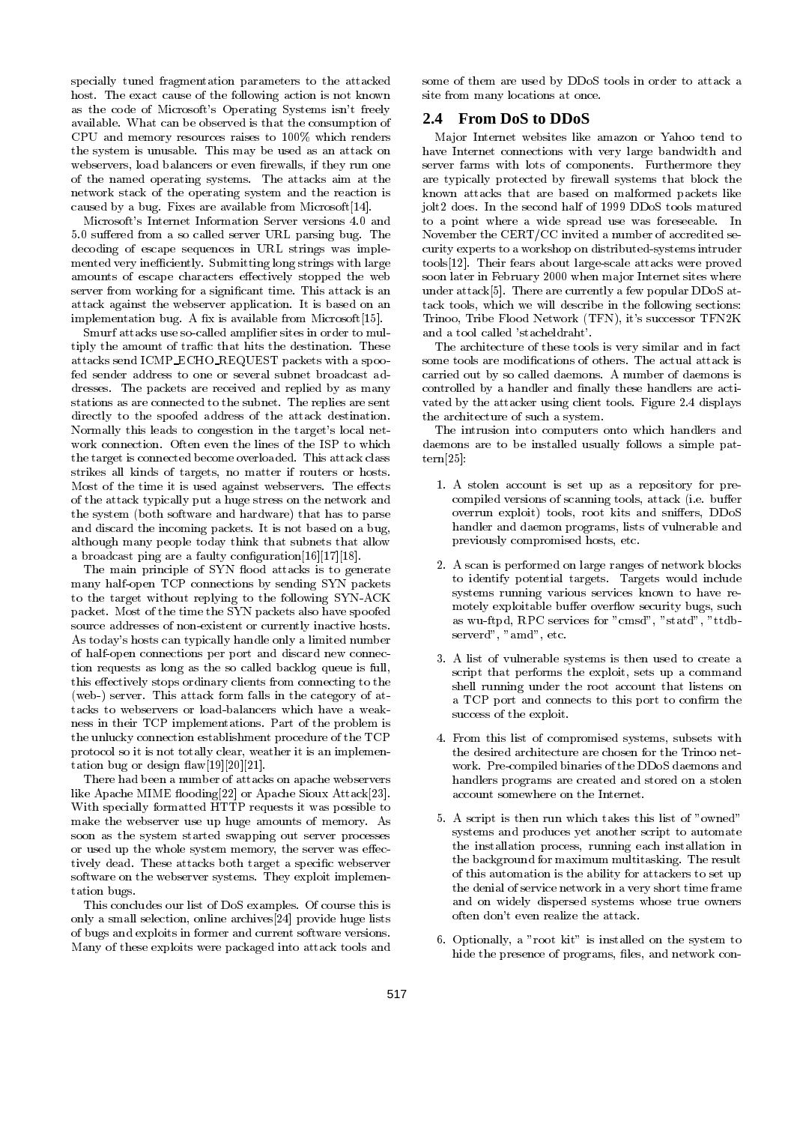specially tuned fragmentation parameters to the attacked host. The exact cause of the following action is not known as the code of Microsoft's Operating Systems isn't freely available. What can be observed is that the consumption of CPU and memory resources raises to 100% which renders the system is unusable. This may be used as an attack on webservers, load balancers or even firewalls, if they run one of the named operating systems. The attacks aim at the network stack of the operating system and the reaction is caused by a bug. Fixes are available from Microsoft[14].

Microsoft's Internet Information Server versions 4.0 and 5.0 suffered from a so called server URL parsing bug. The decoding of escape sequences in URL strings was imple mented very inefficiently. Submitting long strings with large amounts of escape characters effectively stopped the web server from working for a signicant time. This attack is an attack against the webserver application. It is based on an implementation bug. A fix is available from Microsoft[15].

Smurf attacks use so-called amplifier sites in order to multiply the amount of traffic that hits the destination. These attacks send ICMP ECHO REQUEST packets with a spoofed sender address to one or several subnet broadcast addresses. The packets are received and replied by as many stations as are connected to the subnet. The replies are sent directly to the spoofed address of the attack destination. Normally this leads to congestion in the target's local net work connection. Often even the lines of the ISP to which the target is connected become overloaded. This attack class strikes all kinds of targets, no matter if routers or hosts. Most of the time it is used against webservers. The effects of the attack typically put a huge stress on the network and the system (both software and hardware) that has to parse and discard the incoming packets. It is not based on a bug, although many people today think that subnets that allow a broadcast ping are a faulty configuration [16] [17] [18].

The main principle of SYN flood attacks is to generate many half-open TCP connections by sending SYN packets to the target without replying to the following SYN-ACK packet. Most of the time the SYN packets also have spoofed source addresses of non-existent or currently inactive hosts. As today's hosts can typically handle only a limited number of half-open connections per port and discard new connection requests as long as the so called backlog queue is full, this effectively stops ordinary clients from connecting to the (web-) server. This attack form falls in the category of attacks to webservers or load-balancers which have a weakness in their TCP implementations. Part of the problem is the unlucky connection establishment procedure of the TCP protocol so it is not totally clear, weather it is an implementation bug or design  $\text{flaw}[19][20][21]$ .

There had been a number of attacks on apache webservers like Apache MIME flooding[22] or Apache Sioux Attack[23]. With specially formatted HTTP requests it was possible to make the webserver use up huge amounts of memory. As soon as the system started swapping out server processes or used up the whole system memory, the server was effectively dead. These attacks both target a specic webserver software on the webserver systems. They exploit implementation bugs. tation bugs.

This concludes our list of DoS examples. Of course this is only a small selection, online archives[24] provide huge lists of bugs and exploits in former and current software versions. Many of these exploits were packaged into attack tools and

some of them are used by DDoS tools in order to attack a site from many locations at once.

#### **2.4 From DoS to DDoS**

Ma jor Internet websites like amazon or Yahoo tend to have Internet connections with very large bandwidth and server farms with lots of components. Furthermore they are typically protected by firewall systems that block the known attacks that are based on malformed packets like jolt2 does. In the second half of 1999 DDoS tools matured to a point where a wide spread use was foreseeable. In November the CERT/CC invited a number of accredited security experts to a workshop on distributed-systems intruder tools[12]. Their fears about large-scale attacks were proved soon later in February 2000 when major Internet sites where under attack[5]. There are currently a few popular DDoS attack tools, which we will describe in the following sections: Trinoo, Tribe Flood Network (TFN), it's successor TFN2K and a tool called 'stacheldraht'.

The architecture of these tools is very similar and in fact some tools are modifications of others. The actual attack is carried out by so called daemons. A number of daemons is controlled by a handler and finally these handlers are activated by the attacker using client tools. Figure 2.4 displays the architecture of such a system.

The intrusion into computers onto which handlers and daemons are to be installed usually follows a simple pattern[25]:

- 1. A stolen account is set up as a repository for precompiled versions of scanning tools, attack (i.e. buffer overrun exploit) tools, root kits and sniffers, DDoS handler and daemon programs, lists of vulnerable and previously compromised hosts, etc.
- 2. A scan is performed on large ranges of network blocks to identify potential targets. Targets would include systems running various services known to have re motely exploitable buffer overflow security bugs, such as wu-ftpd, RPC services for "cmsd", "statd", "ttdb serverd", "amd", etc.
- 3. A list of vulnerable systems is then used to create a script that performs the exploit, sets up a command shell running under the root account that listens on a TCP port and connects to this port to confirm the success of the exploit.
- 4. From this list of compromised systems, subsets with the desired architecture are chosen for the Trinoo net work. Pre-compiled binaries of the DDoS daemons and handlers programs are created and stored on a stolen account somewhere on the Internet.
- 5. A script is then run which takes this list of "owned" systems and produces yet another script to automate the installation process, running each installation in the background for maximum multitasking. The result of this automation is the ability for attackers to set up the denial of service network in a very short time frame and on widely dispersed systems whose true owners often don't even realize the attack.
- 6. Optionally, a "root kit" is installed on the system to hide the presence of programs, files, and network con-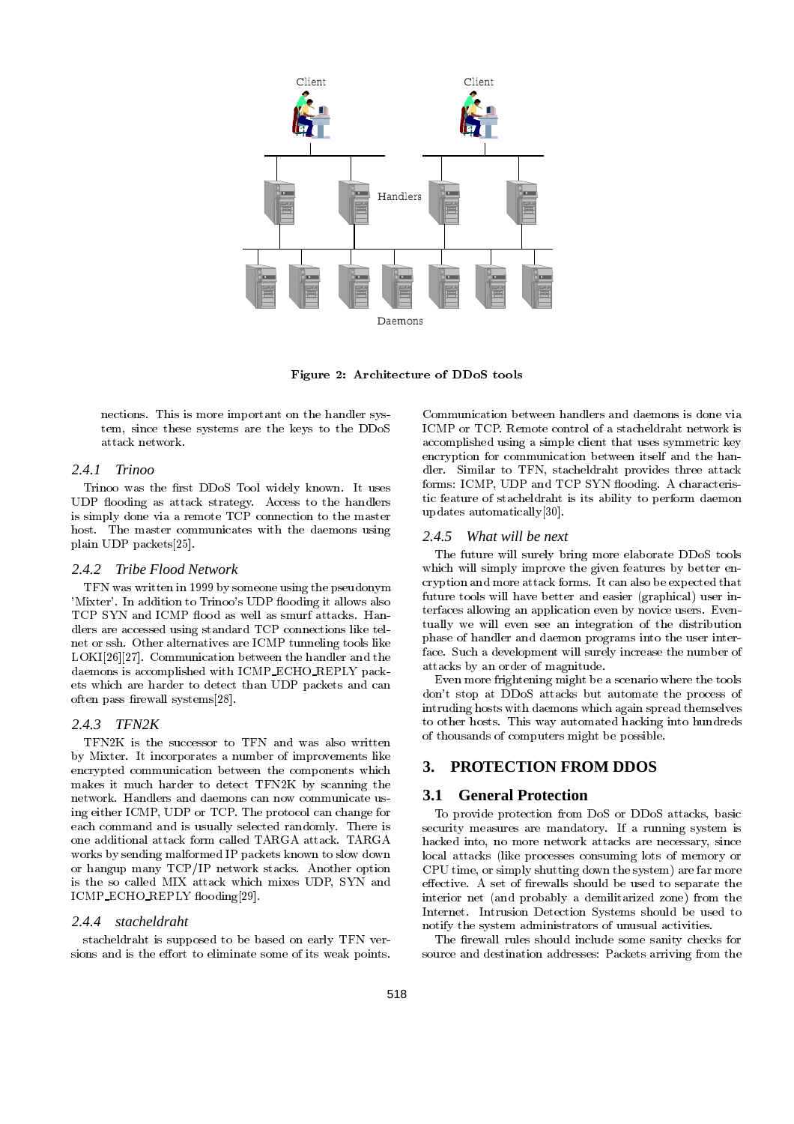

Figure 2: Architecture of DDoS tools

nections. This is more important on the handler system, since these systems are the keys to the DDoS attack network.

#### *2.4.1 Trinoo*

Trinoo was the first DDoS Tool widely known. It uses UDP flooding as attack strategy. Access to the handlers is simply done via a remote TCP connection to the master host. The master communicates with the daemons using 2.4.5 plain UDP packets[25].

#### *2.4.2 Tribe Flood Network*

TFN was written in 1999 by someone using the pseudonym 'Mixter'. In addition to Trinoo's UDP flooding it allows also TCP SYN and ICMP flood as well as smurf attacks. Handlers are accessed using standard TCP connections like telnet or ssh. Other alternatives are ICMP tunneling tools like LOKI[26][27]. Communication between the handler and the daemons is accomplished with ICMP ECHO REPLY packets which are harder to detect than UDP packets and can often pass firewall systems[28].

#### *2.4.3 TFN2K*

TFN2K is the successor to TFN and was also written by Mixter. It incorporates a number of improvements like<br>encrypted communication between the components which  $\overline{\mathbf{3}}$ . encrypted communication between the components which makes it much harder to detect TFN2K by scanning the network. Handlers and daemons can now communicate us- $3.1$ network. Handlers and daemons can now communicate using either ICMP, UDP or TCP. The protocol can change for each command and is usually selected randomly. There is one additional attack form called TARGA attack. TARGA works by sending malformed IP packets known to slow down or hangup many TCP/IP network stacks. Another option is the so called MIX attack which mixes UDP, SYN and ICMP\_ECHO\_REPLY flooding[29].

#### *2.4.4 stacheldraht*

stacheldraht is supposed to be based on early TFN ver sions and is the effort to eliminate some of its weak points.

Communication between handlers and daemons is done via ICMP or TCP. Remote control of a stacheldraht network is accomplished using a simple client that uses symmetric key encryption for communication between itself and the handler. Similar to TFN, stacheldraht provides three attack forms: ICMP, UDP and TCP SYN flooding. A characteristic feature of stacheldraht is its ability to perform daemon updates automatically[30].

#### *2.4.5 What will be next*

The future will surely bring more elaborate DDoS tools which will simply improve the given features by better encryption and more attack forms. It can also be expected that future tools will have better and easier (graphical) user interfaces allowing an application even by novice users. Even tually we will even see an integration of the distribution phase of handler and daemon programs into the user interface. Such a development will surely increase the number of attacks by an order of magnitude.

Even more frightening might be a scenario where the tools don't stop at DDoS attacks but automate the process of intruding hosts with daemons which again spread themselves to other hosts. This way automated hacking into hundreds of thousands of computers might be possible.

## **3. PROTECTION FROM DDOS**

#### **3.1 General Protection**

To provide protection from DoS or DDoS attacks, basic security measures are mandatory. If a running system is hacked into, no more network attacks are necessary, since local attacks (like processes consuming lots of memory or CPU time, or simply shutting down the system) are far more effective. A set of firewalls should be used to separate the interior net (and probably a demilitarized zone) from the Internet. Intrusion Detection Systems should be used to notify the system administrators of unusual activities.

The firewall rules should include some sanity checks for source and destination addresses: Packets arriving from the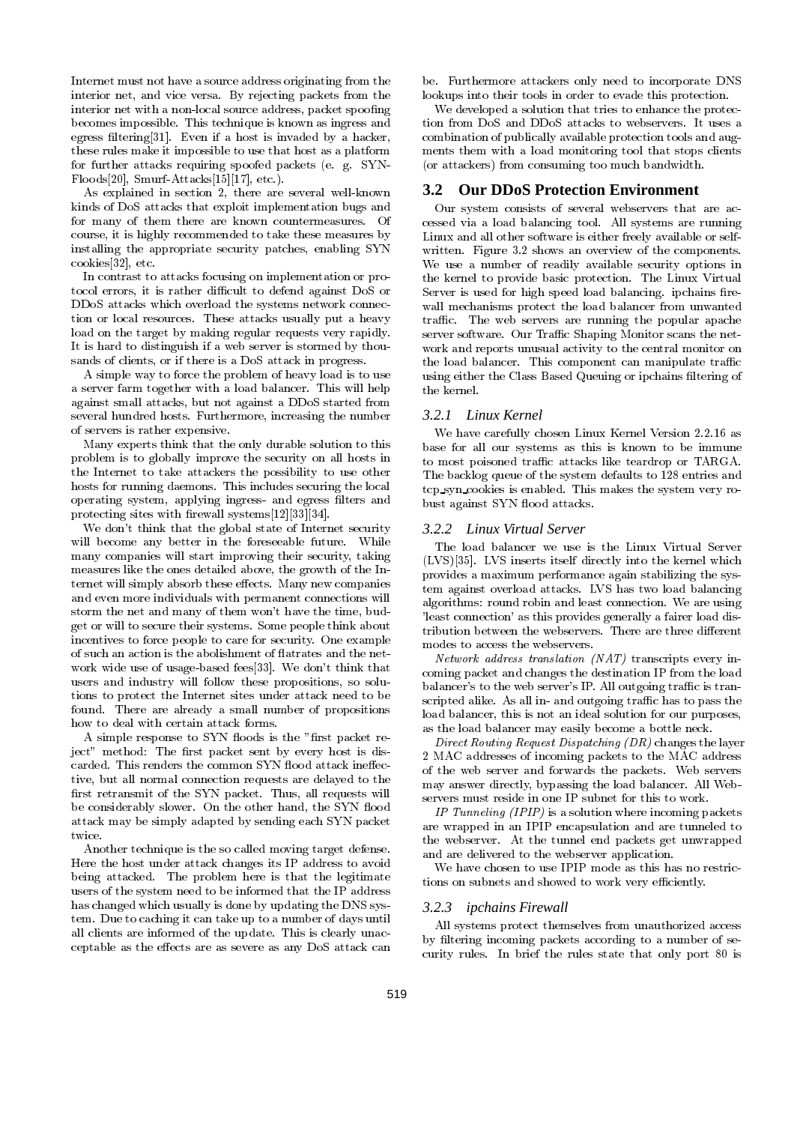Internet must not have a source address originating from the interior net, and vice versa. By rejecting packets from the interior net with a non-local source address, packet spoofing interior net with a non-local source address, packet spoong becomes impossible. This technique is known as ingress and egress ltering[31]. Even if a host is invaded by a hacker, these rules make it impossible to use that host as a platform for further attacks requiring spoofed packets (e. g. SYN-Floods[20], Smurf-Attacks[15][17], etc.).

As explained in section 2, there are several well-known kinds of DoS attacks that exploit implementation bugs and for many of them there are known countermeasures. Of course, it is highly recommended to take these measures by installing the appropriate security patches, enabling SYN cookies[32], etc.

In contrast to attacks focusing on implementation or protocol errors, it is rather difficult to defend against DoS or DDoS attacks which overload the systems network connection or local resources. These attacks usually put a heavy load on the target by making regular requests very rapidly. It is hard to distinguish if a web server is stormed by thousands of clients, or if there is a DoS attack in progress.

A simple way to force the problem of heavy load is to use a server farm together with a load balancer. This will help against small attacks, but not against a DDoS started from several hundred hosts. Furthermore, increasing the number of servers is rather expensive.

Many experts think that the only durable solution to this problem is to globally improve the security on all hosts in the Internet to take attackers the possibility to use other hosts for running daemons. This includes securing the local operating system, applying ingress- and egress lters and protecting sites with firewall systems $[12][33][34]$ .

We don't think that the global state of Internet security will become any better in the foreseeable future. While many companies will start improving their security, taking measures like the ones detailed above, the growth of the Internet will simply absorb these effects. Many new companies and even more individuals with permanent connections will storm the net and many of them won't have the time, budget or will to secure their systems. Some people think about incentives to force people to care for security. One example of such an action is the abolishment of flatrates and the network wide use of usage-based fees[33]. We don't think that users and industry will follow these propositions, so solutions to protect the Internet sites under attack need to be found. There are already a small number of propositions how to deal with certain attack forms.

A simple response to SYN floods is the "first packet reject" method: The first packet sent by every host is discarded. This renders the common SYN flood attack ineffective, but all normal connection requests are delayed to the first retransmit of the SYN packet. Thus, all requests will be considerably slower. On the other hand, the SYN flood attack may be simply adapted by sending each SYN packet twice.

Another technique is the so called moving target defense. Here the host under attack changes its IP address to avoid being attacked. The problem here is that the legitimate users of the system need to be informed that the IP address has changed which usually is done by updating the DNS system. Due to caching it can take up to a number of days until all clients are informed of the update. This is clearly unacceptable as the effects are as severe as any DoS attack can

be. Furthermore attackers only need to incorporate DNS lookups into their tools in order to evade this protection.

We developed a solution that tries to enhance the protection from DoS and DDoS attacks to webservers. It uses a combination of publically available protection tools and aug ments them with a load monitoring tool that stops clients (or attackers) from consuming too much bandwidth.

#### **3.2 Our DDoS Protection Environment**

Our system consists of several webservers that are ac cessed via a load balancing tool. All systems are running Linux and all other software is either freely available or selfwritten. Figure 3.2 shows an overview of the components. We use a number of readily available security options in the kernel to provide basic protection. The Linux Virtual Server is used for high speed load balancing. ipchains firewall mechanisms protect the load balancer from unwanted traffic. The web servers are running the popular apache server software. Our Traffic Shaping Monitor scans the network and reports unusual activity to the central monitor on the load balancer. This component can manipulate traffic using either the Class Based Queuing or ipchains ltering of

#### *3.2.1 Linux Kernel*

We have carefully chosen Linux Kernel Version 2.2.16 as base for all our systems as this is known to be immune to most poisoned traffic attacks like teardrop or TARGA. The backlog queue of the system defaults to 128 entries and tcp syn cookies is enabled. This makes the system very robust against SYN flood attacks.

#### *3.2.2 Linux Virtual Server*

The load balancer we use is the Linux Virtual Server (LVS)[35]. LVS inserts itself directly into the kernel which provides a maximum performance again stabilizing the system against overload attacks. LVS has two load balancing algorithms: round robin and least connection. We are using 'least connection' as this provides generally a fairer load distribution between the webservers. There are three different modes to access the webservers.

Network address translation (NAT) transcripts every incoming packet and changes the destination IP from the load balancer's to the web server's IP. All outgoing traffic is transcripted alike. As all in- and outgoing traffic has to pass the load balancer, this is not an ideal solution for our purposes, as the load balancer may easily become a bottle neck.

Direct Routing Request Dispatching (DR) changes the layer 2 MAC addresses of incoming packets to the MAC address of the web server and forwards the packets. Web servers may answer directly, bypassing the load balancer. All Web servers must reside in one IP subnet for this to work.

IP Tunneling  $(IPIP)$  is a solution where incoming packets are wrapped in an IPIP encapsulation and are tunneled to the webserver. At the tunnel end packets get unwrapped and are delivered to the webserver application.

We have chosen to use IPIP mode as this has no restrictions on subnets and showed to work very efficiently.

#### *3.2.3 ipchains Firewall*

All systems protect themselves from unauthorized access by filtering incoming packets according to a number of security rules. In brief the rules state that only port 80 is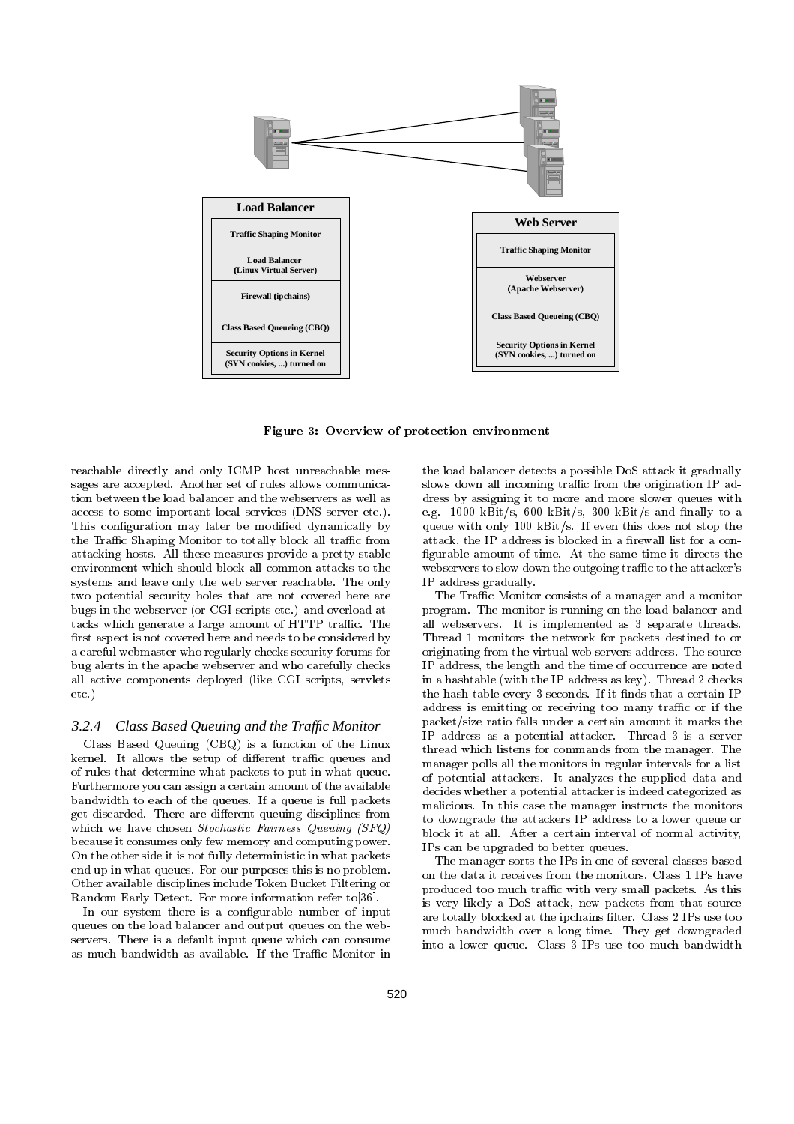

Figure 3: Overview of protection environment

reachable directly and only ICMP host unreachable mes sages are accepted. Another set of rules allows communication between the load balancer and the webservers as well as access to some important local services (DNS server etc.). This configuration may later be modified dynamically by the Traffic Shaping Monitor to totally block all traffic from attacking hosts. All these measures provide a pretty stable environment which should block all common attacks to the systems and leave only the web server reachable. The only two potential security holes that are not covered here are bugs in the webserver (or CGI scripts etc.) and overload attacks which generate a large amount of HTTP traffic. The first aspect is not covered here and needs to be considered by a careful webmaster who regularly checks security forums for bug alerts in the apache webserver and who carefully checks all active components deployed (like CGI scripts, servlets etc.)

#### *3.2.4 Class Based Queuing and the Traffic Monitor*

Class Based Queuing (CBQ) is a function of the Linux kernel. It allows the setup of different traffic queues and of rules that determine what packets to put in what queue. Furthermore you can assign a certain amount of the available bandwidth to each of the queues. If a queue is full packets get discarded. There are different queuing disciplines from which we have chosen Stochastic Fairness Queuing (SFQ) because it consumes only few memory and computing power. On the other side it is not fully deterministic in what packets end up in what queues. For our purposes this is no problem. Other available disciplines include Token Bucket Filtering or Random Early Detect. For more information refer to[36].

In our system there is a configurable number of input queues on the load balancer and output queues on the web servers. There is a default input queue which can consume as much bandwidth as available. If the Traffic Monitor in

the load balancer detects a possible DoS attack it gradually slows down all incoming traffic from the origination IP address by assigning it to more and more slower queues with e.g. 1000 kBit/s, 600 kBit/s, 300 kBit/s and finally to a queue with only 100 kBit/s. If even this does not stop the attack, the IP address is blocked in a firewall list for a configurable amount of time. At the same time it directs the webservers to slow down the outgoing traffic to the attacker's IP address gradually.

The Traffic Monitor consists of a manager and a monitor program. The monitor is running on the load balancer and all webservers. It is implemented as 3 separate threads. Thread 1 monitors the network for packets destined to or originating from the virtual web servers address. The source IP address, the length and the time of occurrence are noted in a hashtable (with the IP address as key). Thread 2 checks the hash table every 3 seconds. If it finds that a certain IP address is emitting or receiving too many traffic or if the packet/size ratio falls under a certain amount it marks the IP address as a potential attacker. Thread 3 is a server thread which listens for commands from the manager. The manager polls all the monitors in regular intervals for a list of potential attackers. It analyzes the supplied data and decides whether a potential attacker is indeed categorized as malicious. In this case the manager instructs the monitors to downgrade the attackers IP address to a lower queue or block it at all. After a certain interval of normal activity, IPs can be upgraded to better queues.

The manager sorts the IPs in one of several classes based on the data it receives from the monitors. Class 1 IPs have produced too much traffic with very small packets. As this is very likely a DoS attack, new packets from that source are totally blocked at the ipchains filter. Class 2 IPs use too much bandwidth over a long time. They get downgraded into a lower queue. Class 3 IPs use too much bandwidth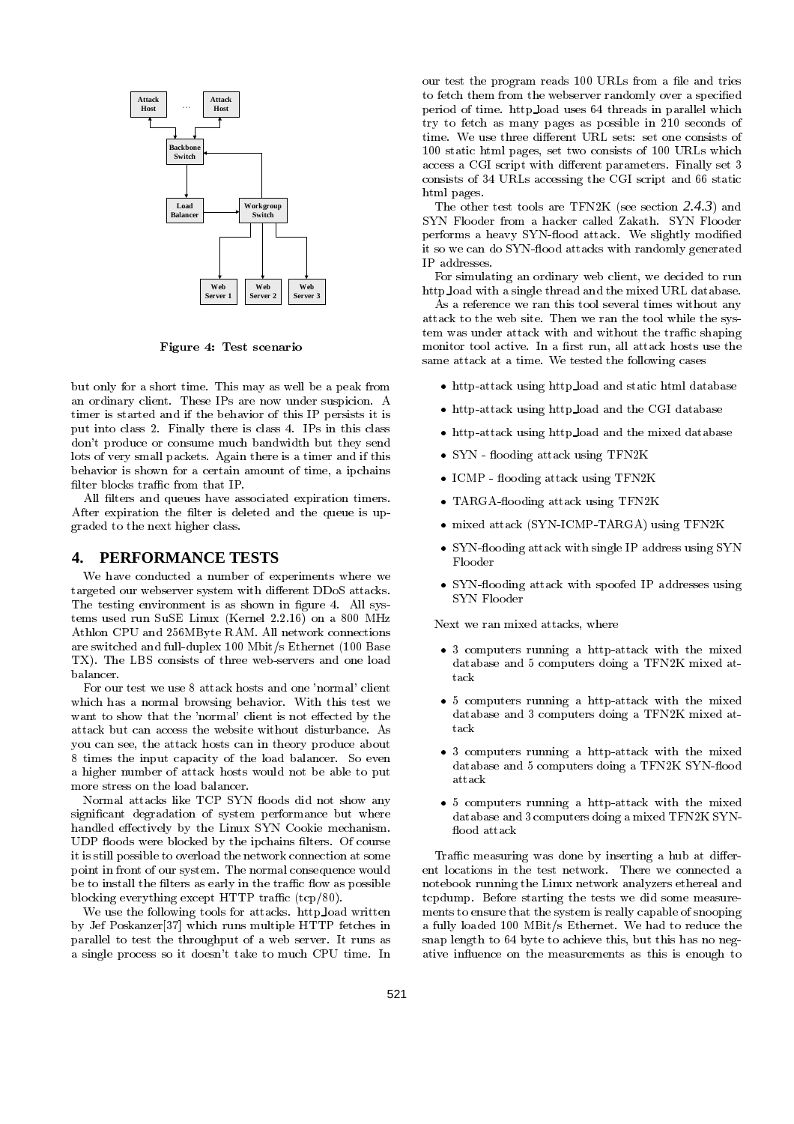

Figure 4: Test scenario

but only for a short time. This may as well be a peak from an ordinary client. These IPs are now under suspicion. A timer is started and if the behavior of this IP persists it is put into class 2. Finally there is class 4. IPs in this class don't produce or consume much bandwidth but they send lots of very small packets. Again there is a timer and if this behavior is shown for a certain amount of time, a ipchains filter blocks traffic from that IP.

All filters and queues have associated expiration timers. After expiration the filter is deleted and the queue is upgraded to the next higher class.

#### **4. PERFORMANCE TESTS**

We have conducted a number of experiments where we targeted our webserver system with different DDoS attacks. The testing environment is as shown in figure 4. All systems used run SuSE Linux (Kernel 2.2.16) on a 800 MHz Athlon CPU and 256MByte RAM. All network connections are switched and full-duplex 100 Mbit/s Ethernet (100 Base TX). The LBS consists of three web-servers and one load balancer.

For our test we use 8 attack hosts and one 'normal' client which has a normal browsing behavior. With this test we want to show that the 'normal' client is not effected by the attack but can access the website without disturbance. As you can see, the attack hosts can in theory produce about 8 times the input capacity of the load balancer. So even a higher number of attack hosts would not be able to put more stress on the load balancer.

Normal attacks like TCP SYN floods did not show any significant degradation of system performance but where handled effectively by the Linux SYN Cookie mechanism. UDP floods were blocked by the ipchains filters. Of course it is still possible to overload the network connection at some point in front of our system. The normal consequence would be to install the filters as early in the traffic flow as possible blocking everything except HTTP traffic  $(tcp/80)$ .

We use the following tools for attacks. http load written by Jef Poskanzer[37] which runs multiple HTTP fetches in parallel to test the throughput of a web server. It runs as a single process so it doesn't take to much CPU time. In

our test the program reads 100 URLs from a file and tries to fetch them from the webserver randomly over a specied period of time. http load uses 64 threads in parallel which try to fetch as many pages as possible in 210 seconds of time. We use three different URL sets: set one consists of 100 static html pages, set two consists of 100 URLs which access a CGI script with different parameters. Finally set 3 consists of 34 URLs accessing the CGI script and 66 static html pages.

The other test tools are TFN2K (see section *2.4.3*) and SYN Flooder from a hacker called Zakath. SYN Flooder performs a heavy SYN-flood attack. We slightly modified it so we can do SYN-flood attacks with randomly generated IP addresses.

For simulating an ordinary web client, we decided to run http load with a single thread and the mixed URL database.

As a reference we ran this tool several times without any attack to the web site. Then we ran the tool while the system was under attack with and without the traffic shaping monitor tool active. In a first run, all attack hosts use the same attack at a time. We tested the following cases

- $\bullet$  http-attack using http load and static html database
- $\bullet$  http-attack using http load and the CGI database
- http-attack using http load and the mixed database
- $\bullet$  SYN flooding attack using TFN2K
- $\bullet$  ICMP flooding attack using TFN2K
- TARGA-nooding attack using IFN2K
- mixed attack (SYN-ICMP-TARGA) using TFN2K
- $\bullet$  SYN-flooding attack with single IP address using SYN Flooder
- $\bullet$  SYN-flooding attack with spoofed IP addresses using SYN Flooder

Next we ran mixed attacks, where

- 3 computers running a http-attack with the mixed database and 5 computers doing a TFN2K mixed at-
- $\bullet$  5 computers running a http-attack with the mixed  $\,$ database and 3 computers doing a TFN2K mixed at-
- 3 computers running a http-attack with the mixed database and 5 computers doing a TFN2K SYN-flood
- $\bullet$  5 computers running a http-attack with the mixed  $\,$ database and 3 computers doing a mixed TFN2K SYN flood attack

Traffic measuring was done by inserting a hub at different locations in the test network. There we connected a notebook running the Linux network analyzers ethereal and tcpdump. Before starting the tests we did some measure ments to ensure that the system is really capable of snooping a fully loaded 100 MBit/s Ethernet. We had to reduce the snap length to 64 byte to achieve this, but this has no negative in
uence on the measurements as this is enough to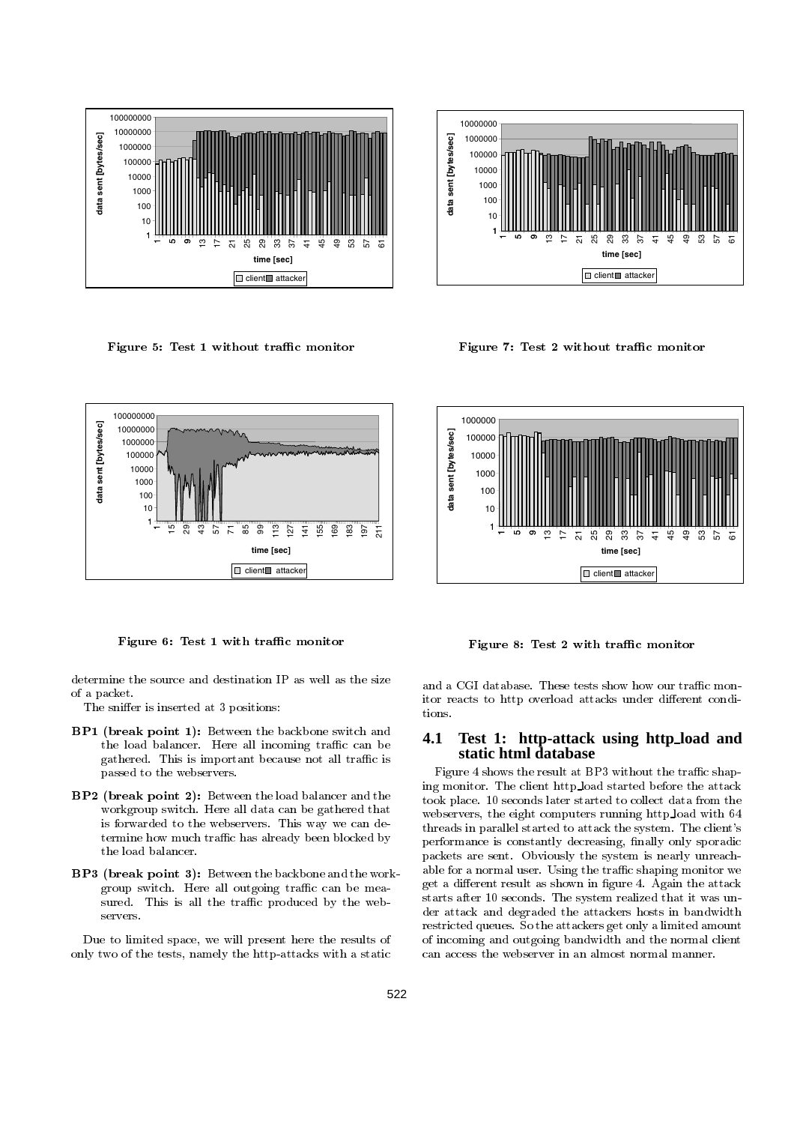

Figure 5: Test 1 without traffic monitor



Figure 7: Test 2 without traffic monitor



Figure 6: Test 1 with traffic monitor

determine the source and destination IP as well as the size of a packet.

The sniffer is inserted at 3 positions:

- **BP1** (break point 1): Between the backbone switch and  $\ddot{ }$  4.1 the load balancer. Here all incoming traffic can be gathered. This is important because not all traffic is passed to the webservers.
- BP2 (break point 2): Between the load balancer and the workgroup switch. Here all data can be gathered that is forwarded to the webservers. This way we can determine how much traffic has already been blocked by the load balancer.
- BP3 (break point 3): Between the backbone and the workgroup switch. Here all outgoing traffic can be measured. This is all the traffic produced by the webservers.

Due to limited space, we will present here the results of only two of the tests, namely the http-attacks with a static



Figure 8: Test 2 with traffic monitor

and a CGI database. These tests show how our traffic monitor reacts to http overload attacks under different conditions.

## **4.1 Test 1: http-attack using http load and static html database**

Figure 4 shows the result at BP3 without the traffic shaping monitor. The client http load started before the attack took place. 10 seconds later started to collect data from the webservers, the eight computers running http load with 64 threads in parallel started to attack the system. The client's performance is constantly decreasing, finally only sporadic packets are sent. Obviously the system is nearly unreachable for a normal user. Using the traffic shaping monitor we get a different result as shown in figure 4. Again the attack starts after 10 seconds. The system realized that it was un der attack and degraded the attackers hosts in bandwidth restricted queues. So the attackers get only a limited amount of incoming and outgoing bandwidth and the normal client can access the webserver in an almost normal manner.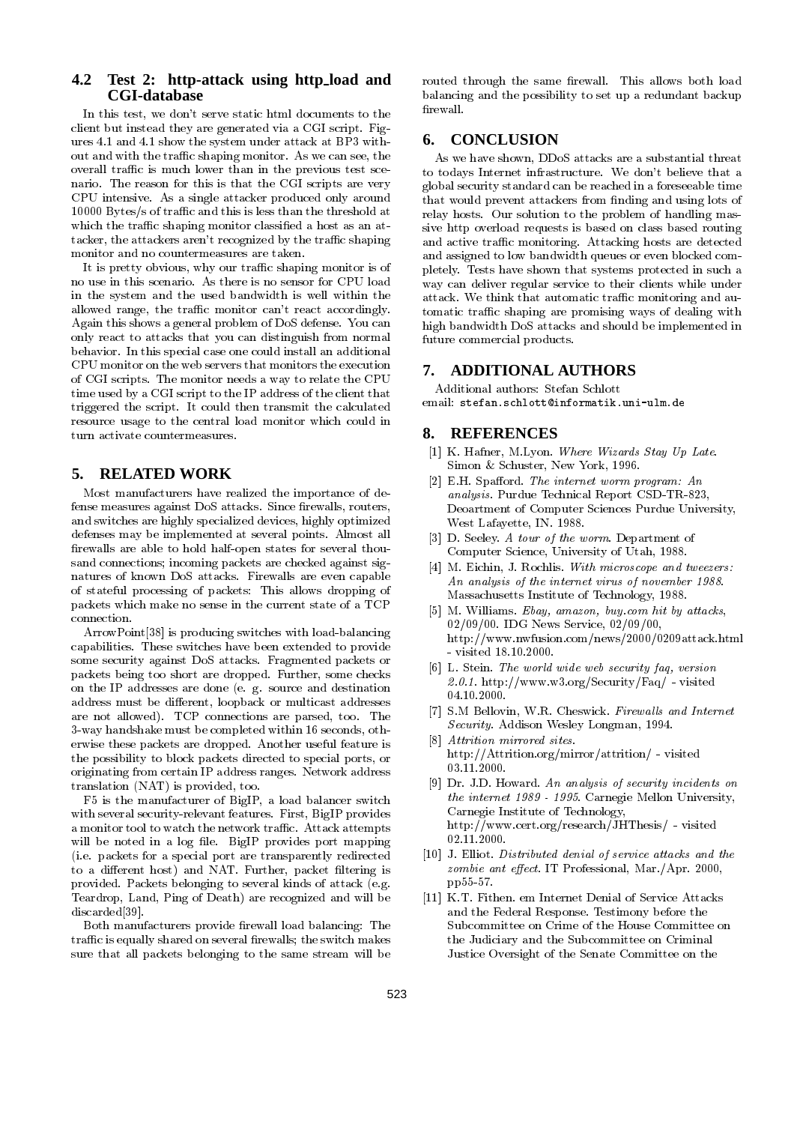## **4.2 Test 2: http-attack using http load and CGI-database**

In this test, we don't serve static html documents to the client but instead they are generated via a CGI script. Figures 4.1 and 4.1 show the system under attack at BP3 without and with the traffic shaping monitor. As we can see, the overall traffic is much lower than in the previous test scenario. The reason for this is that the CGI scripts are very CPU intensive. As a single attacker produced only around  $10000$  Bytes/s of traffic and this is less than the threshold at which the traffic shaping monitor classified a host as an attacker, the attackers aren't recognized by the traffic shaping monitor and no countermeasures are taken.

It is pretty obvious, why our traffic shaping monitor is of no use in this scenario. As there is no sensor for CPU load in the system and the used bandwidth is well within the allowed range, the traffic monitor can't react accordingly. Again this shows a general problem of DoS defense. You can only react to attacks that you can distinguish from normal behavior. In this special case one could install an additional CPU monitor on the web servers that monitors the execution CPU monitor on the web servers that monitors the execution of CGI scripts. The monitor needs a way to relate the CPU time used by a CGI script to the IP address of the client that triggered the script. It could then transmit the calculated resource usage to the central load monitor which could in turn activate countermeasures.

## **5. RELATED WORK**

Most manufacturers have realized the importance of defense measures against DoS attacks. Since firewalls, routers, and switches are highly specialized devices, highly optimized defenses may be implemented at several points. Almost all firewalls are able to hold half-open states for several thousand connections; incoming packets are checked against signatures of known DoS attacks. Firewalls are even capable of stateful processing of packets: This allows dropping of packets which make no sense in the current state of a TCP

ArrowPoint[38] is producing switches with load-balancing capabilities. These switches have been extended to provide some security against DoS attacks. Fragmented packets or packets being too short are dropped. Further, some checks on the IP addresses are done (e. g. source and destination address must be different, loopback or multicast addresses are not allowed). TCP connections are parsed, too. The 3-way handshake must be completed within 16 seconds, otherwise these packets are dropped. Another useful feature is the possibility to block packets directed to special ports, or originating from certain IP address ranges. Network address translation (NAT) is provided, too.

F5 is the manufacturer of BigIP, a load balancer switch with several security-relevant features. First, BigIP provides a monitor tool to watch the network traffic. Attack attempts will be noted in a log file. BigIP provides port mapping (i.e. packets for a special port are transparently redirected to a different host) and NAT. Further, packet filtering is provided. Packets belonging to several kinds of attack (e.g. Teardrop, Land, Ping of Death) are recognized and will be discussed and security and security and security and security and security and security and security and security and security and security and security and security and security and security and security and security and

Both manufacturers provide firewall load balancing: The traffic is equally shared on several firewalls; the switch makes sure that all packets belonging to the same stream will be

routed through the same firewall. This allows both load balancing and the possibility to set up a redundant backup firewall.

## **6. CONCLUSION**

As we have shown, DDoS attacks are a substantial threat to todays Internet infrastructure. We don't believe that a global security standard can be reached in a foreseeable time that would prevent attackers from nding and using lots of relay hosts. Our solution to the problem of handling massive http overload requests is based on class based routing and active traffic monitoring. Attacking hosts are detected and assigned to low bandwidth queues or even blocked completely. Tests have shown that systems protected in such a way can deliver regular service to their clients while under attack. We think that automatic traffic monitoring and automatic traffic shaping are promising ways of dealing with high bandwidth DoS attacks and should be implemented in future commercial products.

## **7. ADDITIONAL AUTHORS**

Additional authors: Stefan Schlott email: stefan.schlott@informatik.uni-ulm.de

## **8. REFERENCES**

- [1] K. Hafner, M.Lyon. Where Wizards Stay Up Late. Simon & Schuster, New York, 1996.
- [2] E.H. Spafford. The internet worm program:  $An$ analysis. Purdue Technical Report CSD-TR-823, Deoartment of Computer Sciences Purdue University, West Lafayette, IN. 1988.
- [3] D. Seeley. A tour of the worm. Department of Computer Science, University of Utah, 1988.
- [4] M. Eichin, J. Rochlis. With microscope and tweezers: An analysis of the internet virus of november 1988. Massachusetts Institute of Technology, 1988.
- [5] M. Williams. Ebay, amazon, buy.com hit by attacks, 02/09/00. IDG News Service, 02/09/00, http://www.nwfusion.com/news/2000/0209attack.html - visited 18.10.2000.
- [6] L. Stein. The world wide web security faq, version 2.0.1. http://www.w3.org/Security/Faq/ - visited 04.10.2000.
- [7] S.M Bellovin, W.R. Cheswick. Firewalls and Internet Security. Addison Wesley Longman, 1994.
- [8] Attrition mirrored sites. http://Attrition.org/mirror/attrition/ - visited 03.11.2000.
- [9] Dr. J.D. Howard. An analysis of security incidents on the internet 1989 - 1995. Carnegie Mellon University, Carnegie Institute of Technology, http://www.cert.org/research/JHThesis/ - visited 02.11.2000.
- [10] J. Elliot. Distributed denial of service attacks and the  $zombie$  ant effect. IT Professional, Mar./Apr. 2000, pp55-57.
- [11] K.T. Fithen. em Internet Denial of Service Attacks and the Federal Response. Testimony before the Subcommittee on Crime of the House Committee on the Judiciary and the Subcommittee on Criminal Justice Oversight of the Senate Committee on the